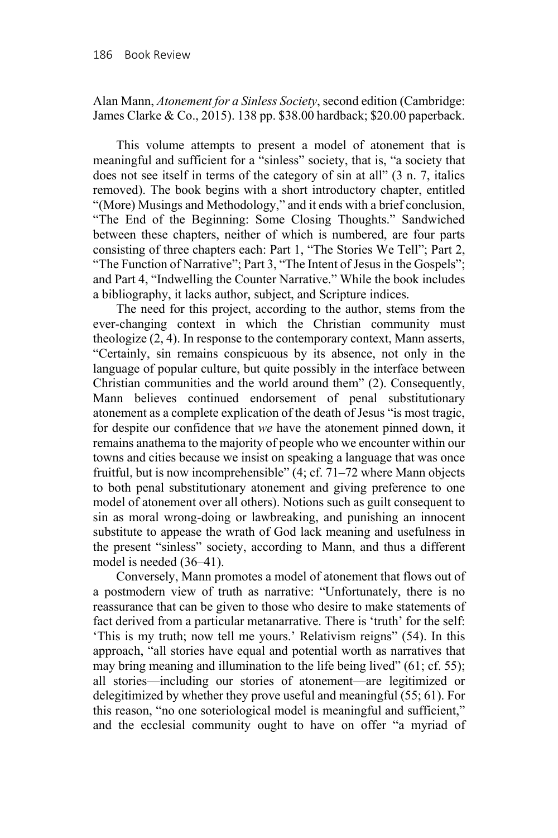Alan Mann, *Atonement for a Sinless Society*, second edition (Cambridge: James Clarke & Co., 2015). 138 pp. \$38.00 hardback; \$20.00 paperback.

This volume attempts to present a model of atonement that is meaningful and sufficient for a "sinless" society, that is, "a society that does not see itself in terms of the category of sin at all" (3 n. 7, italics removed). The book begins with a short introductory chapter, entitled "(More) Musings and Methodology," and it ends with a brief conclusion, "The End of the Beginning: Some Closing Thoughts." Sandwiched between these chapters, neither of which is numbered, are four parts consisting of three chapters each: Part 1, "The Stories We Tell"; Part 2, "The Function of Narrative"; Part 3, "The Intent of Jesus in the Gospels"; and Part 4, "Indwelling the Counter Narrative." While the book includes a bibliography, it lacks author, subject, and Scripture indices.

The need for this project, according to the author, stems from the ever-changing context in which the Christian community must theologize (2, 4). In response to the contemporary context, Mann asserts, "Certainly, sin remains conspicuous by its absence, not only in the language of popular culture, but quite possibly in the interface between Christian communities and the world around them" (2). Consequently, Mann believes continued endorsement of penal substitutionary atonement as a complete explication of the death of Jesus "is most tragic, for despite our confidence that *we* have the atonement pinned down, it remains anathema to the majority of people who we encounter within our towns and cities because we insist on speaking a language that was once fruitful, but is now incomprehensible" (4; cf. 71–72 where Mann objects to both penal substitutionary atonement and giving preference to one model of atonement over all others). Notions such as guilt consequent to sin as moral wrong-doing or lawbreaking, and punishing an innocent substitute to appease the wrath of God lack meaning and usefulness in the present "sinless" society, according to Mann, and thus a different model is needed (36–41).

Conversely, Mann promotes a model of atonement that flows out of a postmodern view of truth as narrative: "Unfortunately, there is no reassurance that can be given to those who desire to make statements of fact derived from a particular metanarrative. There is 'truth' for the self: 'This is my truth; now tell me yours.' Relativism reigns" (54). In this approach, "all stories have equal and potential worth as narratives that may bring meaning and illumination to the life being lived" (61; cf. 55); all stories—including our stories of atonement—are legitimized or delegitimized by whether they prove useful and meaningful (55; 61). For this reason, "no one soteriological model is meaningful and sufficient," and the ecclesial community ought to have on offer "a myriad of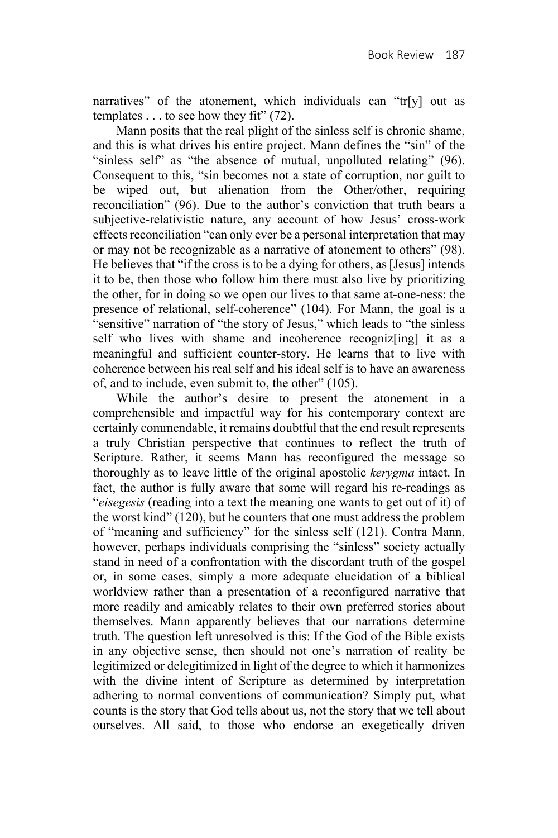narratives" of the atonement, which individuals can "tr[y] out as templates  $\dots$  to see how they fit" (72).

Mann posits that the real plight of the sinless self is chronic shame, and this is what drives his entire project. Mann defines the "sin" of the "sinless self" as "the absence of mutual, unpolluted relating" (96). Consequent to this, "sin becomes not a state of corruption, nor guilt to be wiped out, but alienation from the Other/other, requiring reconciliation" (96). Due to the author's conviction that truth bears a subjective-relativistic nature, any account of how Jesus' cross-work effects reconciliation "can only ever be a personal interpretation that may or may not be recognizable as a narrative of atonement to others" (98). He believes that "if the cross is to be a dying for others, as [Jesus] intends it to be, then those who follow him there must also live by prioritizing the other, for in doing so we open our lives to that same at-one-ness: the presence of relational, self-coherence" (104). For Mann, the goal is a "sensitive" narration of "the story of Jesus," which leads to "the sinless self who lives with shame and incoherence recognizes it as a meaningful and sufficient counter-story. He learns that to live with coherence between his real self and his ideal self is to have an awareness of, and to include, even submit to, the other" (105).

While the author's desire to present the atonement in a comprehensible and impactful way for his contemporary context are certainly commendable, it remains doubtful that the end result represents a truly Christian perspective that continues to reflect the truth of Scripture. Rather, it seems Mann has reconfigured the message so thoroughly as to leave little of the original apostolic *kerygma* intact. In fact, the author is fully aware that some will regard his re-readings as "*eisegesis* (reading into a text the meaning one wants to get out of it) of the worst kind" (120), but he counters that one must address the problem of "meaning and sufficiency" for the sinless self (121). Contra Mann, however, perhaps individuals comprising the "sinless" society actually stand in need of a confrontation with the discordant truth of the gospel or, in some cases, simply a more adequate elucidation of a biblical worldview rather than a presentation of a reconfigured narrative that more readily and amicably relates to their own preferred stories about themselves. Mann apparently believes that our narrations determine truth. The question left unresolved is this: If the God of the Bible exists in any objective sense, then should not one's narration of reality be legitimized or delegitimized in light of the degree to which it harmonizes with the divine intent of Scripture as determined by interpretation adhering to normal conventions of communication? Simply put, what counts is the story that God tells about us, not the story that we tell about ourselves. All said, to those who endorse an exegetically driven